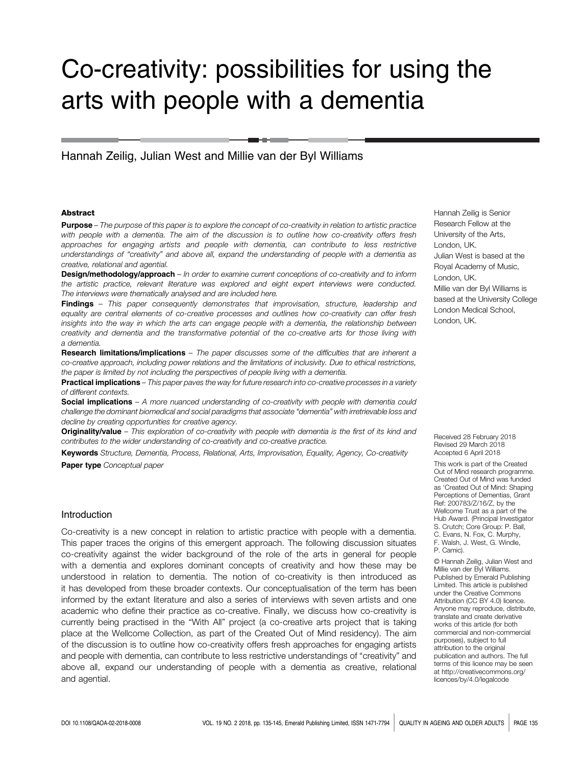# Co-creativity: possibilities for using the arts with people with a dementia

## Hannah Zeilig, Julian West and Millie van der Byl Williams

#### **Abstract**

Purpose – The purpose of this paper is to explore the concept of co-creativity in relation to artistic practice with people with a dementia. The aim of the discussion is to outline how co-creativity offers fresh approaches for engaging artists and people with dementia, can contribute to less restrictive understandings of "creativity" and above all, expand the understanding of people with a dementia as creative, relational and agential.

Design/methodology/approach - In order to examine current conceptions of co-creativity and to inform the artistic practice, relevant literature was explored and eight expert interviews were conducted. The interviews were thematically analysed and are included here.

Findings - This paper consequently demonstrates that improvisation, structure, leadership and equality are central elements of co-creative processes and outlines how co-creativity can offer fresh insights into the way in which the arts can engage people with a dementia, the relationship between creativity and dementia and the transformative potential of the co-creative arts for those living with a dementia.

**Research limitations/implications** – The paper discusses some of the difficulties that are inherent a co-creative approach, including power relations and the limitations of inclusivity. Due to ethical restrictions, the paper is limited by not including the perspectives of people living with a dementia.

Practical implications – This paper paves the way for future research into co-creative processes in a variety of different contexts.

Social implications – A more nuanced understanding of co-creativity with people with dementia could challenge the dominant biomedical and social paradigms that associate "dementia" with irretrievable loss and decline by creating opportunities for creative agency.

Originality/value – This exploration of co-creativity with people with dementia is the first of its kind and contributes to the wider understanding of co-creativity and co-creative practice.

Keywords Structure, Dementia, Process, Relational, Arts, Improvisation, Equality, Agency, Co-creativity Paper type Conceptual paper

### Introduction

Co-creativity is a new concept in relation to artistic practice with people with a dementia. This paper traces the origins of this emergent approach. The following discussion situates co-creativity against the wider background of the role of the arts in general for people with a dementia and explores dominant concepts of creativity and how these may be understood in relation to dementia. The notion of co-creativity is then introduced as it has developed from these broader contexts. Our conceptualisation of the term has been informed by the extant literature and also a series of interviews with seven artists and one academic who define their practice as co-creative. Finally, we discuss how co-creativity is currently being practised in the "With All" project (a co-creative arts project that is taking place at the Wellcome Collection, as part of the Created Out of Mind residency). The aim of the discussion is to outline how co-creativity offers fresh approaches for engaging artists and people with dementia, can contribute to less restrictive understandings of "creativity" and above all, expand our understanding of people with a dementia as creative, relational and agential.

Hannah Zeilig is Senior Research Fellow at the University of the Arts, London, UK. Julian West is based at the Royal Academy of Music, London, UK. Millie van der Byl Williams is based at the University College London Medical School, London, UK.

Received 28 February 2018 Revised 29 March 2018 Accepted 6 April 2018

This work is part of the Created Out of Mind research programme. Created Out of Mind was funded as 'Created Out of Mind: Shaping Perceptions of Dementias, Grant Ref: 200783/Z/16/Z, by the Wellcome Trust as a part of the Hub Award. (Principal Investigator S. Crutch; Core Group: P. Ball, C. Evans, N. Fox, C. Murphy, F. Walsh, J. West, G. Windle, P. Camic)

© Hannah Zeilig, Julian West and Millie van der Byl Williams. Published by Emerald Publishing Limited. This article is published under the Creative Commons Attribution (CC BY 4.0) licence. Anyone may reproduce, distribute, translate and create derivative works of this article (for both commercial and non-commercial purposes), subject to full attribution to the original publication and authors. The full terms of this licence may be seen at [http://creativecommons.org/](http://creativecommons.org/licences/by/4.0/legalcode) [licences/by/4.0/legalcode](http://creativecommons.org/licences/by/4.0/legalcode)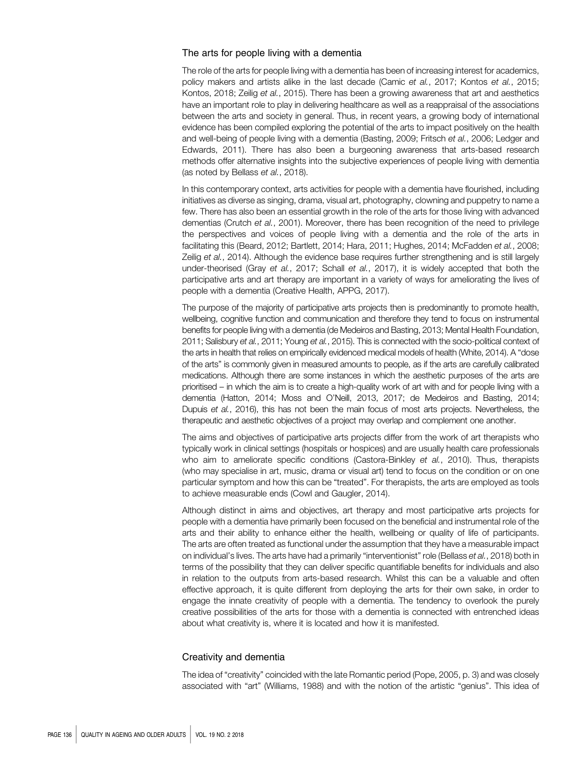#### The arts for people living with a dementia

The role of the arts for people living with a dementia has been of increasing interest for academics, policy makers and artists alike in the last decade (Camic et al., 2017; Kontos et al., 2015; Kontos, 2018; Zeilig et al., 2015). There has been a growing awareness that art and aesthetics have an important role to play in delivering healthcare as well as a reappraisal of the associations between the arts and society in general. Thus, in recent years, a growing body of international evidence has been compiled exploring the potential of the arts to impact positively on the health and well-being of people living with a dementia (Basting, 2009; Fritsch et al., 2006; Ledger and Edwards, 2011). There has also been a burgeoning awareness that arts-based research methods offer alternative insights into the subjective experiences of people living with dementia (as noted by Bellass et al., 2018).

In this contemporary context, arts activities for people with a dementia have flourished, including initiatives as diverse as singing, drama, visual art, photography, clowning and puppetry to name a few. There has also been an essential growth in the role of the arts for those living with advanced dementias (Crutch et al., 2001). Moreover, there has been recognition of the need to privilege the perspectives and voices of people living with a dementia and the role of the arts in facilitating this (Beard, 2012; Bartlett, 2014; Hara, 2011; Hughes, 2014; McFadden et al., 2008; Zeilig et al., 2014). Although the evidence base requires further strengthening and is still largely under-theorised (Gray et al., 2017; Schall et al., 2017), it is widely accepted that both the participative arts and art therapy are important in a variety of ways for ameliorating the lives of people with a dementia (Creative Health, APPG, 2017).

The purpose of the majority of participative arts projects then is predominantly to promote health, wellbeing, cognitive function and communication and therefore they tend to focus on instrumental benefits for people living with a dementia (de Medeiros and Basting, 2013; Mental Health Foundation, 2011; Salisbury et al., 2011; Young et al., 2015). This is connected with the socio-political context of the arts in health that relies on empirically evidenced medical models of health (White, 2014). A "dose of the arts" is commonly given in measured amounts to people, as if the arts are carefully calibrated medications. Although there are some instances in which the aesthetic purposes of the arts are prioritised – in which the aim is to create a high-quality work of art with and for people living with a dementia (Hatton, 2014; Moss and O'Neill, 2013, 2017; de Medeiros and Basting, 2014; Dupuis et al., 2016), this has not been the main focus of most arts projects. Nevertheless, the therapeutic and aesthetic objectives of a project may overlap and complement one another.

The aims and objectives of participative arts projects differ from the work of art therapists who typically work in clinical settings (hospitals or hospices) and are usually health care professionals who aim to ameliorate specific conditions (Castora-Binkley et al., 2010). Thus, therapists (who may specialise in art, music, drama or visual art) tend to focus on the condition or on one particular symptom and how this can be "treated". For therapists, the arts are employed as tools to achieve measurable ends (Cowl and Gaugler, 2014).

Although distinct in aims and objectives, art therapy and most participative arts projects for people with a dementia have primarily been focused on the beneficial and instrumental role of the arts and their ability to enhance either the health, wellbeing or quality of life of participants. The arts are often treated as functional under the assumption that they have a measurable impact on individual's lives. The arts have had a primarily "interventionist" role (Bellass et al., 2018) both in terms of the possibility that they can deliver specific quantifiable benefits for individuals and also in relation to the outputs from arts-based research. Whilst this can be a valuable and often effective approach, it is quite different from deploying the arts for their own sake, in order to engage the innate creativity of people with a dementia. The tendency to overlook the purely creative possibilities of the arts for those with a dementia is connected with entrenched ideas about what creativity is, where it is located and how it is manifested.

## Creativity and dementia

The idea of "creativity" coincided with the late Romantic period (Pope, 2005, p. 3) and was closely associated with "art" (Williams, 1988) and with the notion of the artistic "genius". This idea of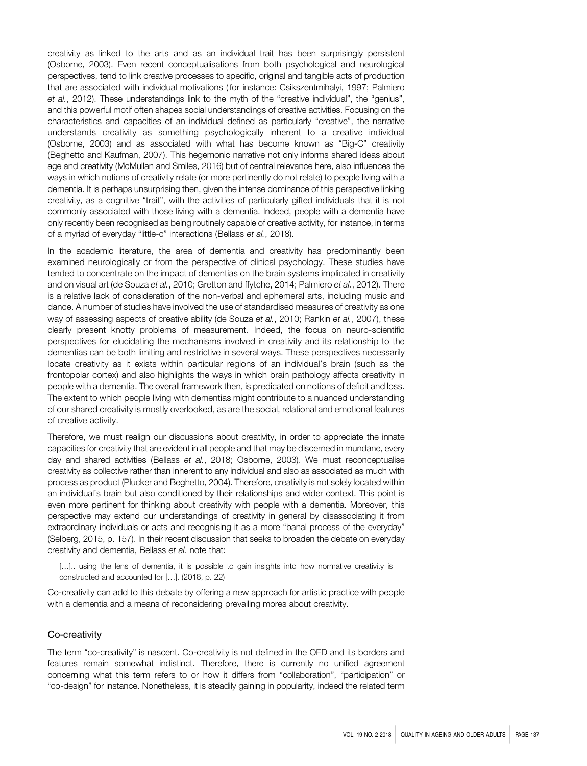creativity as linked to the arts and as an individual trait has been surprisingly persistent (Osborne, 2003). Even recent conceptualisations from both psychological and neurological perspectives, tend to link creative processes to specific, original and tangible acts of production that are associated with individual motivations ( for instance: Csikszentmihalyi, 1997; Palmiero et al., 2012). These understandings link to the myth of the "creative individual", the "genius", and this powerful motif often shapes social understandings of creative activities. Focusing on the characteristics and capacities of an individual defined as particularly "creative", the narrative understands creativity as something psychologically inherent to a creative individual (Osborne, 2003) and as associated with what has become known as "Big-C" creativity (Beghetto and Kaufman, 2007). This hegemonic narrative not only informs shared ideas about age and creativity (McMullan and Smiles, 2016) but of central relevance here, also influences the ways in which notions of creativity relate (or more pertinently do not relate) to people living with a dementia. It is perhaps unsurprising then, given the intense dominance of this perspective linking creativity, as a cognitive "trait", with the activities of particularly gifted individuals that it is not commonly associated with those living with a dementia. Indeed, people with a dementia have only recently been recognised as being routinely capable of creative activity, for instance, in terms of a myriad of everyday "little-c" interactions (Bellass et al., 2018).

In the academic literature, the area of dementia and creativity has predominantly been examined neurologically or from the perspective of clinical psychology. These studies have tended to concentrate on the impact of dementias on the brain systems implicated in creativity and on visual art (de Souza et al., 2010; Gretton and ffytche, 2014; Palmiero et al., 2012). There is a relative lack of consideration of the non-verbal and ephemeral arts, including music and dance. A number of studies have involved the use of standardised measures of creativity as one way of assessing aspects of creative ability (de Souza et al., 2010; Rankin et al., 2007), these clearly present knotty problems of measurement. Indeed, the focus on neuro-scientific perspectives for elucidating the mechanisms involved in creativity and its relationship to the dementias can be both limiting and restrictive in several ways. These perspectives necessarily locate creativity as it exists within particular regions of an individual's brain (such as the frontopolar cortex) and also highlights the ways in which brain pathology affects creativity in people with a dementia. The overall framework then, is predicated on notions of deficit and loss. The extent to which people living with dementias might contribute to a nuanced understanding of our shared creativity is mostly overlooked, as are the social, relational and emotional features of creative activity.

Therefore, we must realign our discussions about creativity, in order to appreciate the innate capacities for creativity that are evident in all people and that may be discerned in mundane, every day and shared activities (Bellass et al., 2018; Osborne, 2003). We must reconceptualise creativity as collective rather than inherent to any individual and also as associated as much with process as product (Plucker and Beghetto, 2004). Therefore, creativity is not solely located within an individual's brain but also conditioned by their relationships and wider context. This point is even more pertinent for thinking about creativity with people with a dementia. Moreover, this perspective may extend our understandings of creativity in general by disassociating it from extraordinary individuals or acts and recognising it as a more "banal process of the everyday" (Selberg, 2015, p. 157). In their recent discussion that seeks to broaden the debate on everyday creativity and dementia, Bellass et al. note that:

[...].. using the lens of dementia, it is possible to gain insights into how normative creativity is constructed and accounted for […]. (2018, p. 22)

Co-creativity can add to this debate by offering a new approach for artistic practice with people with a dementia and a means of reconsidering prevailing mores about creativity.

#### Co-creativity

The term "co-creativity" is nascent. Co-creativity is not defined in the OED and its borders and features remain somewhat indistinct. Therefore, there is currently no unified agreement concerning what this term refers to or how it differs from "collaboration", "participation" or "co-design" for instance. Nonetheless, it is steadily gaining in popularity, indeed the related term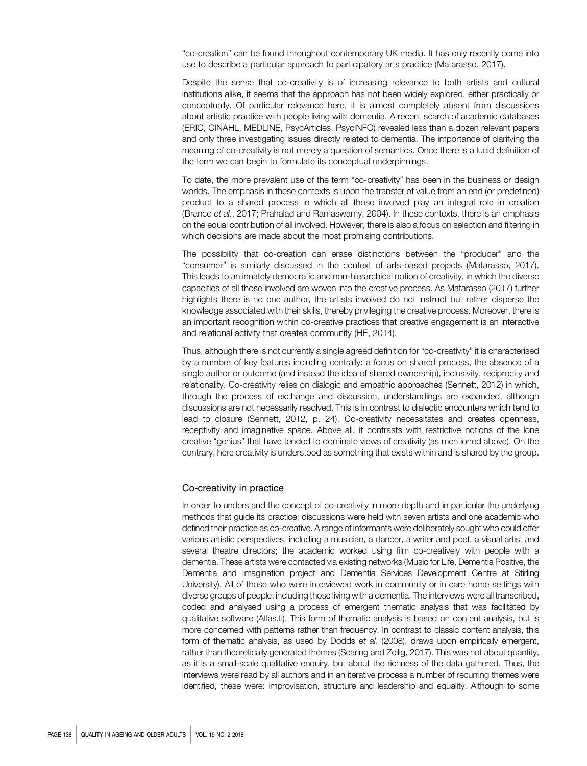"co-creation" can be found throughout contemporary UK media. It has only recently come into use to describe a particular approach to participatory arts practice (Matarasso, 2017).

Despite the sense that co-creativity is of increasing relevance to both artists and cultural institutions alike, it seems that the approach has not been widely explored, either practically or conceptually. Of particular relevance here, it is almost completely absent from discussions about artistic practice with people living with dementia. A recent search of academic databases (ERIC, CINAHL, MEDLINE, PsycArticles, PsycINFO) revealed less than a dozen relevant papers and only three investigating issues directly related to dementia. The importance of clarifying the meaning of co-creativity is not merely a question of semantics. Once there is a lucid definition of the term we can begin to formulate its conceptual underpinnings.

To date, the more prevalent use of the term "co-creativity" has been in the business or design worlds. The emphasis in these contexts is upon the transfer of value from an end (or predefined) product to a shared process in which all those involved play an integral role in creation (Branco et al., 2017; Prahalad and Ramaswamy, 2004). In these contexts, there is an emphasis on the equal contribution of all involved. However, there is also a focus on selection and filtering in which decisions are made about the most promising contributions.

The possibility that co-creation can erase distinctions between the "producer" and the "consumer" is similarly discussed in the context of arts-based projects (Matarasso, 2017). This leads to an innately democratic and non-hierarchical notion of creativity, in which the diverse capacities of all those involved are woven into the creative process. As Matarasso (2017) further highlights there is no one author, the artists involved do not instruct but rather disperse the knowledge associated with their skills, thereby privileging the creative process. Moreover, there is an important recognition within co-creative practices that creative engagement is an interactive and relational activity that creates community (HE, 2014).

Thus, although there is not currently a single agreed definition for "co-creativity" it is characterised by a number of key features including centrally: a focus on shared process, the absence of a single author or outcome (and instead the idea of shared ownership), inclusivity, reciprocity and relationality. Co-creativity relies on dialogic and empathic approaches (Sennett, 2012) in which, through the process of exchange and discussion, understandings are expanded, although discussions are not necessarily resolved. This is in contrast to dialectic encounters which tend to lead to closure (Sennett, 2012, p. 24). Co-creativity necessitates and creates openness, receptivity and imaginative space. Above all, it contrasts with restrictive notions of the lone creative "genius" that have tended to dominate views of creativity (as mentioned above). On the contrary, here creativity is understood as something that exists within and is shared by the group.

#### Co-creativity in practice

In order to understand the concept of co-creativity in more depth and in particular the underlying methods that guide its practice; discussions were held with seven artists and one academic who defined their practice as co-creative. A range of informants were deliberately sought who could offer various artistic perspectives, including a musician, a dancer, a writer and poet, a visual artist and several theatre directors; the academic worked using film co-creatively with people with a dementia. These artists were contacted via existing networks (Music for Life, Dementia Positive, the Dementia and Imagination project and Dementia Services Development Centre at Stirling University). All of those who were interviewed work in community or in care home settings with diverse groups of people, including those living with a dementia. The interviews were all transcribed, coded and analysed using a process of emergent thematic analysis that was facilitated by qualitative software (Atlas.ti). This form of thematic analysis is based on content analysis, but is more concerned with patterns rather than frequency. In contrast to classic content analysis, this form of thematic analysis, as used by Dodds et al. (2008), draws upon empirically emergent, rather than theoretically generated themes (Searing and Zeilig, 2017). This was not about quantity, as it is a small-scale qualitative enquiry, but about the richness of the data gathered. Thus, the interviews were read by all authors and in an iterative process a number of recurring themes were identified, these were: improvisation, structure and leadership and equality. Although to some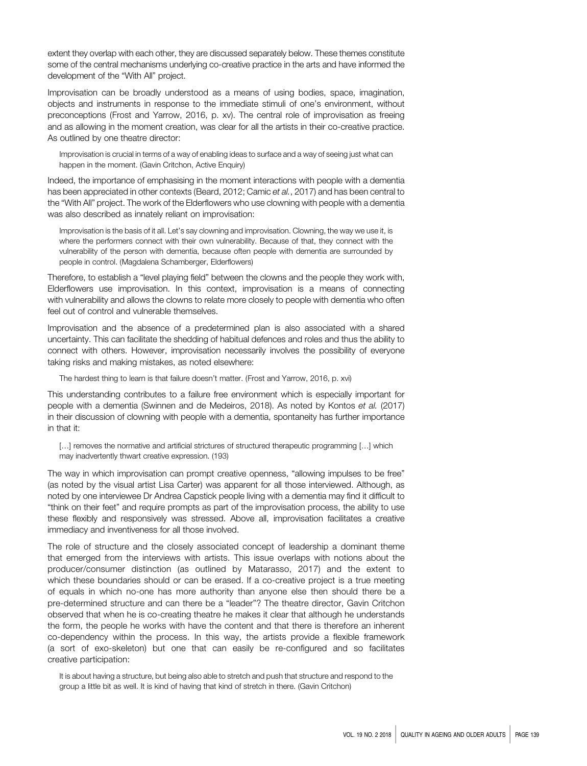extent they overlap with each other, they are discussed separately below. These themes constitute some of the central mechanisms underlying co-creative practice in the arts and have informed the development of the "With All" project.

Improvisation can be broadly understood as a means of using bodies, space, imagination, objects and instruments in response to the immediate stimuli of one's environment, without preconceptions (Frost and Yarrow, 2016, p. xv). The central role of improvisation as freeing and as allowing in the moment creation, was clear for all the artists in their co-creative practice. As outlined by one theatre director:

Improvisation is crucial in terms of a way of enabling ideas to surface and a way of seeing just what can happen in the moment. (Gavin Critchon, Active Enquiry)

Indeed, the importance of emphasising in the moment interactions with people with a dementia has been appreciated in other contexts (Beard, 2012; Camic et al., 2017) and has been central to the "With All" project. The work of the Elderflowers who use clowning with people with a dementia was also described as innately reliant on improvisation:

Improvisation is the basis of it all. Let's say clowning and improvisation. Clowning, the way we use it, is where the performers connect with their own vulnerability. Because of that, they connect with the vulnerability of the person with dementia, because often people with dementia are surrounded by people in control. (Magdalena Schamberger, Elderflowers)

Therefore, to establish a "level playing field" between the clowns and the people they work with, Elderflowers use improvisation. In this context, improvisation is a means of connecting with vulnerability and allows the clowns to relate more closely to people with dementia who often feel out of control and vulnerable themselves.

Improvisation and the absence of a predetermined plan is also associated with a shared uncertainty. This can facilitate the shedding of habitual defences and roles and thus the ability to connect with others. However, improvisation necessarily involves the possibility of everyone taking risks and making mistakes, as noted elsewhere:

The hardest thing to learn is that failure doesn't matter. (Frost and Yarrow, 2016, p. xvi)

This understanding contributes to a failure free environment which is especially important for people with a dementia (Swinnen and de Medeiros, 2018). As noted by Kontos et al. (2017) in their discussion of clowning with people with a dementia, spontaneity has further importance in that it:

[...] removes the normative and artificial strictures of structured therapeutic programming [...] which may inadvertently thwart creative expression. (193)

The way in which improvisation can prompt creative openness, "allowing impulses to be free" (as noted by the visual artist Lisa Carter) was apparent for all those interviewed. Although, as noted by one interviewee Dr Andrea Capstick people living with a dementia may find it difficult to "think on their feet" and require prompts as part of the improvisation process, the ability to use these flexibly and responsively was stressed. Above all, improvisation facilitates a creative immediacy and inventiveness for all those involved.

The role of structure and the closely associated concept of leadership a dominant theme that emerged from the interviews with artists. This issue overlaps with notions about the producer/consumer distinction (as outlined by Matarasso, 2017) and the extent to which these boundaries should or can be erased. If a co-creative project is a true meeting of equals in which no-one has more authority than anyone else then should there be a pre-determined structure and can there be a "leader"? The theatre director, Gavin Critchon observed that when he is co-creating theatre he makes it clear that although he understands the form, the people he works with have the content and that there is therefore an inherent co-dependency within the process. In this way, the artists provide a flexible framework (a sort of exo-skeleton) but one that can easily be re-configured and so facilitates creative participation:

It is about having a structure, but being also able to stretch and push that structure and respond to the group a little bit as well. It is kind of having that kind of stretch in there. (Gavin Critchon)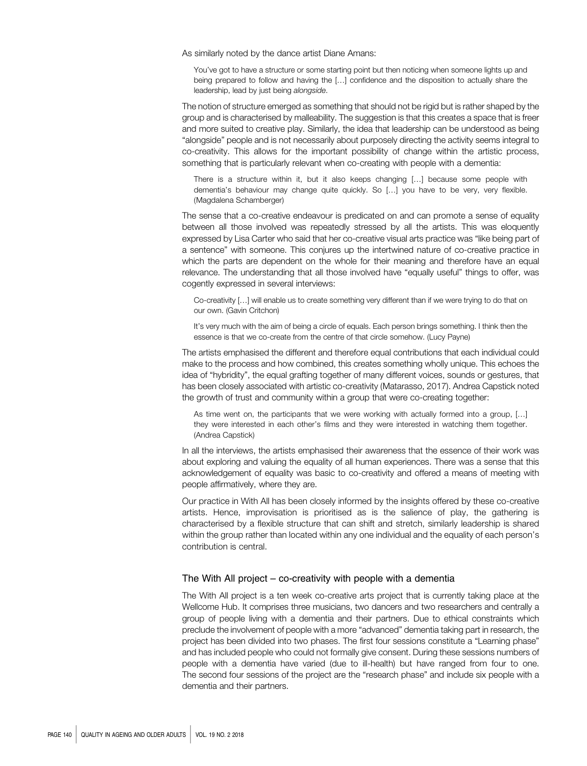As similarly noted by the dance artist Diane Amans:

You've got to have a structure or some starting point but then noticing when someone lights up and being prepared to follow and having the […] confidence and the disposition to actually share the leadership, lead by just being alongside.

The notion of structure emerged as something that should not be rigid but is rather shaped by the group and is characterised by malleability. The suggestion is that this creates a space that is freer and more suited to creative play. Similarly, the idea that leadership can be understood as being "alongside" people and is not necessarily about purposely directing the activity seems integral to co-creativity. This allows for the important possibility of change within the artistic process, something that is particularly relevant when co-creating with people with a dementia:

There is a structure within it, but it also keeps changing […] because some people with dementia's behaviour may change quite quickly. So […] you have to be very, very flexible. (Magdalena Schamberger)

The sense that a co-creative endeavour is predicated on and can promote a sense of equality between all those involved was repeatedly stressed by all the artists. This was eloquently expressed by Lisa Carter who said that her co-creative visual arts practice was "like being part of a sentence" with someone. This conjures up the intertwined nature of co-creative practice in which the parts are dependent on the whole for their meaning and therefore have an equal relevance. The understanding that all those involved have "equally useful" things to offer, was cogently expressed in several interviews:

Co-creativity […] will enable us to create something very different than if we were trying to do that on our own. (Gavin Critchon)

It's very much with the aim of being a circle of equals. Each person brings something. I think then the essence is that we co-create from the centre of that circle somehow. (Lucy Payne)

The artists emphasised the different and therefore equal contributions that each individual could make to the process and how combined, this creates something wholly unique. This echoes the idea of "hybridity", the equal grafting together of many different voices, sounds or gestures, that has been closely associated with artistic co-creativity (Matarasso, 2017). Andrea Capstick noted the growth of trust and community within a group that were co-creating together:

As time went on, the participants that we were working with actually formed into a group, […] they were interested in each other's films and they were interested in watching them together. (Andrea Capstick)

In all the interviews, the artists emphasised their awareness that the essence of their work was about exploring and valuing the equality of all human experiences. There was a sense that this acknowledgement of equality was basic to co-creativity and offered a means of meeting with people affirmatively, where they are.

Our practice in With All has been closely informed by the insights offered by these co-creative artists. Hence, improvisation is prioritised as is the salience of play, the gathering is characterised by a flexible structure that can shift and stretch, similarly leadership is shared within the group rather than located within any one individual and the equality of each person's contribution is central.

#### The With All project – co-creativity with people with a dementia

The With All project is a ten week co-creative arts project that is currently taking place at the Wellcome Hub. It comprises three musicians, two dancers and two researchers and centrally a group of people living with a dementia and their partners. Due to ethical constraints which preclude the involvement of people with a more "advanced" dementia taking part in research, the project has been divided into two phases. The first four sessions constitute a "Learning phase" and has included people who could not formally give consent. During these sessions numbers of people with a dementia have varied (due to ill-health) but have ranged from four to one. The second four sessions of the project are the "research phase" and include six people with a dementia and their partners.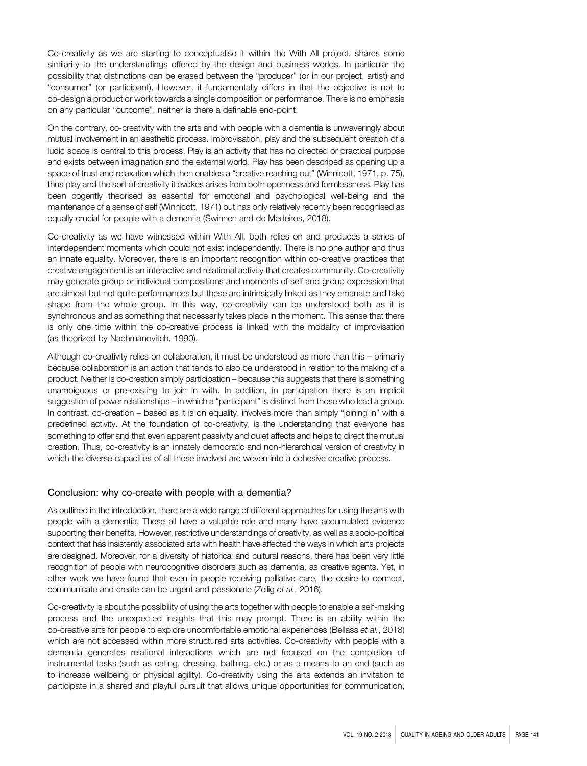Co-creativity as we are starting to conceptualise it within the With All project, shares some similarity to the understandings offered by the design and business worlds. In particular the possibility that distinctions can be erased between the "producer" (or in our project, artist) and "consumer" (or participant). However, it fundamentally differs in that the objective is not to co-design a product or work towards a single composition or performance. There is no emphasis on any particular "outcome", neither is there a definable end-point.

On the contrary, co-creativity with the arts and with people with a dementia is unwaveringly about mutual involvement in an aesthetic process. Improvisation, play and the subsequent creation of a ludic space is central to this process. Play is an activity that has no directed or practical purpose and exists between imagination and the external world. Play has been described as opening up a space of trust and relaxation which then enables a "creative reaching out" (Winnicott, 1971, p. 75), thus play and the sort of creativity it evokes arises from both openness and formlessness. Play has been cogently theorised as essential for emotional and psychological well-being and the maintenance of a sense of self (Winnicott, 1971) but has only relatively recently been recognised as equally crucial for people with a dementia (Swinnen and de Medeiros, 2018).

Co-creativity as we have witnessed within With All, both relies on and produces a series of interdependent moments which could not exist independently. There is no one author and thus an innate equality. Moreover, there is an important recognition within co-creative practices that creative engagement is an interactive and relational activity that creates community. Co-creativity may generate group or individual compositions and moments of self and group expression that are almost but not quite performances but these are intrinsically linked as they emanate and take shape from the whole group. In this way, co-creativity can be understood both as it is synchronous and as something that necessarily takes place in the moment. This sense that there is only one time within the co-creative process is linked with the modality of improvisation (as theorized by Nachmanovitch, 1990).

Although co-creativity relies on collaboration, it must be understood as more than this – primarily because collaboration is an action that tends to also be understood in relation to the making of a product. Neither is co-creation simply participation – because this suggests that there is something unambiguous or pre-existing to join in with. In addition, in participation there is an implicit suggestion of power relationships – in which a "participant" is distinct from those who lead a group. In contrast, co-creation – based as it is on equality, involves more than simply "joining in" with a predefined activity. At the foundation of co-creativity, is the understanding that everyone has something to offer and that even apparent passivity and quiet affects and helps to direct the mutual creation. Thus, co-creativity is an innately democratic and non-hierarchical version of creativity in which the diverse capacities of all those involved are woven into a cohesive creative process.

## Conclusion: why co-create with people with a dementia?

As outlined in the introduction, there are a wide range of different approaches for using the arts with people with a dementia. These all have a valuable role and many have accumulated evidence supporting their benefits. However, restrictive understandings of creativity, as well as a socio-political context that has insistently associated arts with health have affected the ways in which arts projects are designed. Moreover, for a diversity of historical and cultural reasons, there has been very little recognition of people with neurocognitive disorders such as dementia, as creative agents. Yet, in other work we have found that even in people receiving palliative care, the desire to connect, communicate and create can be urgent and passionate (Zeilig et al., 2016).

Co-creativity is about the possibility of using the arts together with people to enable a self-making process and the unexpected insights that this may prompt. There is an ability within the co-creative arts for people to explore uncomfortable emotional experiences (Bellass et al., 2018) which are not accessed within more structured arts activities. Co-creativity with people with a dementia generates relational interactions which are not focused on the completion of instrumental tasks (such as eating, dressing, bathing, etc.) or as a means to an end (such as to increase wellbeing or physical agility). Co-creativity using the arts extends an invitation to participate in a shared and playful pursuit that allows unique opportunities for communication,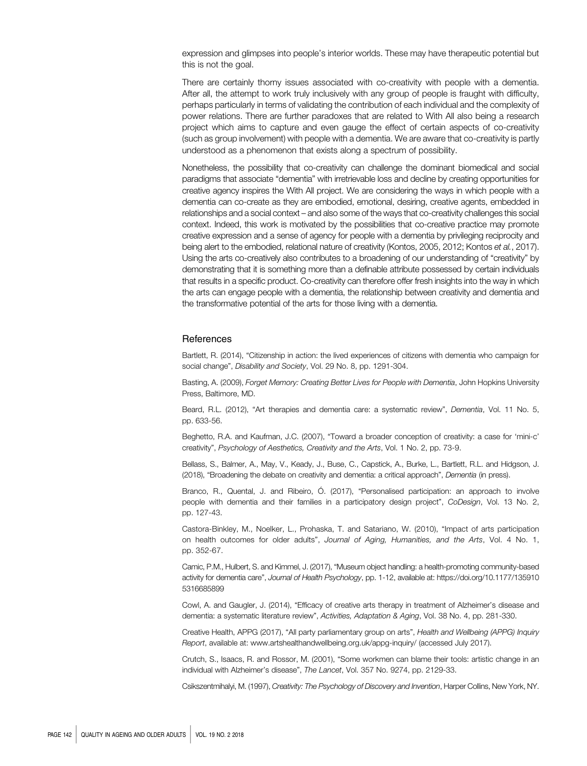expression and glimpses into people's interior worlds. These may have therapeutic potential but this is not the goal.

There are certainly thorny issues associated with co-creativity with people with a dementia. After all, the attempt to work truly inclusively with any group of people is fraught with difficulty, perhaps particularly in terms of validating the contribution of each individual and the complexity of power relations. There are further paradoxes that are related to With All also being a research project which aims to capture and even gauge the effect of certain aspects of co-creativity (such as group involvement) with people with a dementia. We are aware that co-creativity is partly understood as a phenomenon that exists along a spectrum of possibility.

Nonetheless, the possibility that co-creativity can challenge the dominant biomedical and social paradigms that associate "dementia" with irretrievable loss and decline by creating opportunities for creative agency inspires the With All project. We are considering the ways in which people with a dementia can co-create as they are embodied, emotional, desiring, creative agents, embedded in relationships and a social context – and also some of the ways that co-creativity challenges this social context. Indeed, this work is motivated by the possibilities that co-creative practice may promote creative expression and a sense of agency for people with a dementia by privileging reciprocity and being alert to the embodied, relational nature of creativity (Kontos, 2005, 2012; Kontos et al., 2017). Using the arts co-creatively also contributes to a broadening of our understanding of "creativity" by demonstrating that it is something more than a definable attribute possessed by certain individuals that results in a specific product. Co-creativity can therefore offer fresh insights into the way in which the arts can engage people with a dementia, the relationship between creativity and dementia and the transformative potential of the arts for those living with a dementia.

#### **References**

Bartlett, R. (2014), "Citizenship in action: the lived experiences of citizens with dementia who campaign for social change", Disability and Society, Vol. 29 No. 8, pp. 1291-304.

Basting, A. (2009), Forget Memory: Creating Better Lives for People with Dementia, John Hopkins University Press, Baltimore, MD.

Beard, R.L. (2012), "Art therapies and dementia care: a systematic review", Dementia, Vol. 11 No. 5, pp. 633-56.

Beghetto, R.A. and Kaufman, J.C. (2007), "Toward a broader conception of creativity: a case for 'mini-c' creativity", Psychology of Aesthetics, Creativity and the Arts, Vol. 1 No. 2, pp. 73-9.

Bellass, S., Balmer, A., May, V., Keady, J., Buse, C., Capstick, A., Burke, L., Bartlett, R.L. and Hidgson, J. (2018), "Broadening the debate on creativity and dementia: a critical approach", Dementia (in press).

Branco, R., Quental, J. and Ribeiro, Ó. (2017), "Personalised participation: an approach to involve people with dementia and their families in a participatory design project", CoDesign, Vol. 13 No. 2, pp. 127-43.

Castora-Binkley, M., Noelker, L., Prohaska, T. and Satariano, W. (2010), "Impact of arts participation on health outcomes for older adults", Journal of Aging, Humanities, and the Arts, Vol. 4 No. 1, pp. 352-67.

Camic, P.M., Hulbert, S. and Kimmel, J. (2017), "Museum object handling: a health-promoting community-based activity for dementia care", Journal of Health Psychology, pp. 1-12, available at: [https://doi.org/10.1177/135910](https://doi.org/10.1177/1359105316685899) [5316685899](https://doi.org/10.1177/1359105316685899)

Cowl, A. and Gaugler, J. (2014), "Efficacy of creative arts therapy in treatment of Alzheimer's disease and dementia: a systematic literature review", Activities, Adaptation & Aging, Vol. 38 No. 4, pp. 281-330.

Creative Health, APPG (2017), "All party parliamentary group on arts", Health and Wellbeing (APPG) Inquiry Report, available at:<www.artshealthandwellbeing.org.uk/appg-inquiry/> (accessed July 2017).

Crutch, S., Isaacs, R. and Rossor, M. (2001), "Some workmen can blame their tools: artistic change in an individual with Alzheimer's disease", The Lancet, Vol. 357 No. 9274, pp. 2129-33.

Csikszentmihalyi, M. (1997), Creativity: The Psychology of Discovery and Invention, Harper Collins, New York, NY.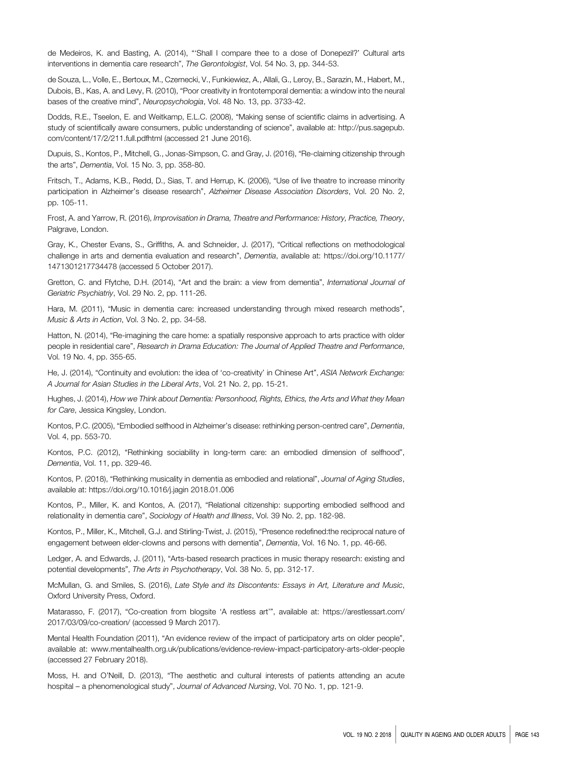de Medeiros, K. and Basting, A. (2014), "'Shall I compare thee to a dose of Donepezil?' Cultural arts interventions in dementia care research", The Gerontologist, Vol. 54 No. 3, pp. 344-53.

de Souza, L., Volle, E., Bertoux, M., Czernecki, V., Funkiewiez, A., Allali, G., Leroy, B., Sarazin, M., Habert, M., Dubois, B., Kas, A. and Levy, R. (2010), "Poor creativity in frontotemporal dementia: a window into the neural bases of the creative mind", Neuropsychologia, Vol. 48 No. 13, pp. 3733-42.

Dodds, R.E., Tseelon, E. and Weitkamp, E.L.C. (2008), "Making sense of scientific claims in advertising. A study of scientifically aware consumers, public understanding of science", available at: [http://pus.sagepub.](http://pus.sagepub.com/content/17/2/211.full.pdfhtml) [com/content/17/2/211.full.pdfhtml](http://pus.sagepub.com/content/17/2/211.full.pdfhtml) (accessed 21 June 2016).

Dupuis, S., Kontos, P., Mitchell, G., Jonas-Simpson, C. and Gray, J. (2016), "Re-claiming citizenship through the arts", Dementia, Vol. 15 No. 3, pp. 358-80.

Fritsch, T., Adams, K.B., Redd, D., Sias, T. and Herrup, K. (2006), "Use of live theatre to increase minority participation in Alzheimer's disease research", Alzheimer Disease Association Disorders, Vol. 20 No. 2, pp. 105-11.

Frost, A. and Yarrow, R. (2016), Improvisation in Drama, Theatre and Performance: History, Practice, Theory, Palgrave, London.

Gray, K., Chester Evans, S., Griffiths, A. and Schneider, J. (2017), "Critical reflections on methodological challenge in arts and dementia evaluation and research", Dementia, available at: [https://doi.org/10.1177/](https://doi.org/10.1177/1471301217734478) [1471301217734478](https://doi.org/10.1177/1471301217734478) (accessed 5 October 2017).

Gretton, C. and Ffytche, D.H. (2014), "Art and the brain: a view from dementia", International Journal of Geriatric Psychiatriy, Vol. 29 No. 2, pp. 111-26.

Hara, M. (2011), "Music in dementia care: increased understanding through mixed research methods", Music & Arts in Action, Vol. 3 No. 2, pp. 34-58.

Hatton, N. (2014), "Re-imagining the care home: a spatially responsive approach to arts practice with older people in residential care", Research in Drama Education: The Journal of Applied Theatre and Performance, Vol. 19 No. 4, pp. 355-65.

He, J. (2014), "Continuity and evolution: the idea of 'co-creativity' in Chinese Art", ASIA Network Exchange: A Journal for Asian Studies in the Liberal Arts, Vol. 21 No. 2, pp. 15-21.

Hughes, J. (2014), How we Think about Dementia: Personhood, Rights, Ethics, the Arts and What they Mean for Care, Jessica Kingsley, London.

Kontos, P.C. (2005), "Embodied selfhood in Alzheimer's disease: rethinking person-centred care", Dementia, Vol. 4, pp. 553-70.

Kontos, P.C. (2012), "Rethinking sociability in long-term care: an embodied dimension of selfhood", Dementia, Vol. 11, pp. 329-46.

Kontos, P. (2018), "Rethinking musicality in dementia as embodied and relational", Journal of Aging Studies, available at:<https://doi.org/10.1016/j.jagin 2018.01.006>

Kontos, P., Miller, K. and Kontos, A. (2017), "Relational citizenship: supporting embodied selfhood and relationality in dementia care", Sociology of Health and Illness, Vol. 39 No. 2, pp. 182-98.

Kontos, P., Miller, K., Mitchell, G.J. and Stirling-Twist, J. (2015), "Presence redefined:the reciprocal nature of engagement between elder-clowns and persons with dementia", Dementia, Vol. 16 No. 1, pp. 46-66.

Ledger, A. and Edwards, J. (2011), "Arts-based research practices in music therapy research: existing and potential developments", The Arts in Psychotherapy, Vol. 38 No. 5, pp. 312-17.

McMullan, G. and Smiles, S. (2016), Late Style and its Discontents: Essays in Art, Literature and Music, Oxford University Press, Oxford.

Matarasso, F. (2017), "Co-creation from blogsite 'A restless art'", available at: [https://arestlessart.com/](https://arestlessart.com/2017/03/09/co-creation/) [2017/03/09/co-creation/](https://arestlessart.com/2017/03/09/co-creation/) (accessed 9 March 2017).

Mental Health Foundation (2011), "An evidence review of the impact of participatory arts on older people", available at:<www.mentalhealth.org.uk/publications/evidence-review-impact-participatory-arts-older-people> (accessed 27 February 2018).

Moss, H. and O'Neill, D. (2013), "The aesthetic and cultural interests of patients attending an acute hospital – a phenomenological study", Journal of Advanced Nursing, Vol. 70 No. 1, pp. 121-9.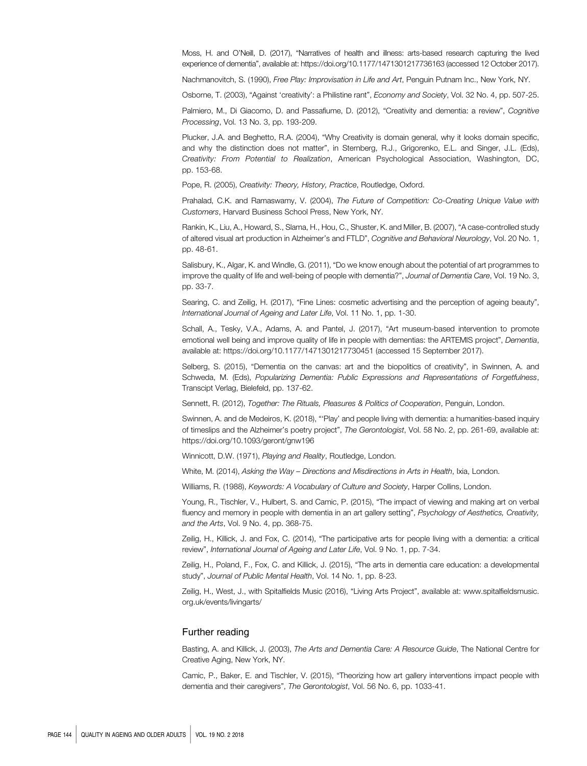Moss, H. and O'Neill, D. (2017), "Narratives of health and illness: arts-based research capturing the lived experience of dementia", available at:<https://doi.org/10.1177/1471301217736163> (accessed 12 October 2017).

Nachmanovitch, S. (1990), Free Play: Improvisation in Life and Art, Penguin Putnam Inc., New York, NY.

Osborne, T. (2003), "Against 'creativity': a Philistine rant", Economy and Society, Vol. 32 No. 4, pp. 507-25.

Palmiero, M., Di Giacomo, D. and Passafiume, D. (2012), "Creativity and dementia: a review", Cognitive Processing, Vol. 13 No. 3, pp. 193-209.

Plucker, J.A. and Beghetto, R.A. (2004), "Why Creativity is domain general, why it looks domain specific, and why the distinction does not matter", in Sternberg, R.J., Grigorenko, E.L. and Singer, J.L. (Eds), Creativity: From Potential to Realization, American Psychological Association, Washington, DC, pp. 153-68.

Pope, R. (2005), Creativity: Theory, History, Practice, Routledge, Oxford.

Prahalad, C.K. and Ramaswamy, V. (2004), The Future of Competition: Co-Creating Unique Value with Customers, Harvard Business School Press, New York, NY.

Rankin, K., Liu, A., Howard, S., Slama, H., Hou, C., Shuster, K. and Miller, B. (2007), "A case-controlled study of altered visual art production in Alzheimer's and FTLD", Cognitive and Behavioral Neurology, Vol. 20 No. 1, pp. 48-61.

Salisbury, K., Algar, K. and Windle, G. (2011), "Do we know enough about the potential of art programmes to improve the quality of life and well-being of people with dementia?", Journal of Dementia Care, Vol. 19 No. 3, pp. 33-7.

Searing, C. and Zeilig, H. (2017), "Fine Lines: cosmetic advertising and the perception of ageing beauty", International Journal of Ageing and Later Life, Vol. 11 No. 1, pp. 1-30.

Schall, A., Tesky, V.A., Adams, A. and Pantel, J. (2017), "Art museum-based intervention to promote emotional well being and improve quality of life in people with dementias: the ARTEMIS project", Dementia, available at:<https://doi.org/10.1177/1471301217730451> (accessed 15 September 2017).

Selberg, S. (2015), "Dementia on the canvas: art and the biopolitics of creativity", in Swinnen, A. and Schweda, M. (Eds), Popularizing Dementia: Public Expressions and Representations of Forgetfulness, Transcipt Verlag, Bielefeld, pp. 137-62.

Sennett, R. (2012), Together: The Rituals, Pleasures & Politics of Cooperation, Penguin, London.

Swinnen, A. and de Medeiros, K. (2018), "'Play' and people living with dementia: a humanities-based inquiry of timeslips and the Alzheimer's poetry project", The Gerontologist, Vol. 58 No. 2, pp. 261-69, available at: <https://doi.org/10.1093/geront/gnw196>

Winnicott, D.W. (1971), Playing and Reality, Routledge, London.

White, M. (2014), Asking the Way - Directions and Misdirections in Arts in Health, Ixia, London.

Williams, R. (1988), Keywords: A Vocabulary of Culture and Society, Harper Collins, London.

Young, R., Tischler, V., Hulbert, S. and Camic, P. (2015), "The impact of viewing and making art on verbal fluency and memory in people with dementia in an art gallery setting", Psychology of Aesthetics, Creativity, and the Arts, Vol. 9 No. 4, pp. 368-75.

Zeilig, H., Killick, J. and Fox, C. (2014), "The participative arts for people living with a dementia: a critical review", International Journal of Ageing and Later Life, Vol. 9 No. 1, pp. 7-34.

Zeilig, H., Poland, F., Fox, C. and Killick, J. (2015), "The arts in dementia care education: a developmental study", Journal of Public Mental Health, Vol. 14 No. 1, pp. 8-23.

Zeilig, H., West, J., with Spitalfields Music (2016), "Living Arts Project", available at: [www.spitalfieldsmusic.](www.spitalfieldsmusic.org.uk/events/livingarts/) [org.uk/events/livingarts/](www.spitalfieldsmusic.org.uk/events/livingarts/)

#### Further reading

Basting, A. and Killick, J. (2003), The Arts and Dementia Care: A Resource Guide, The National Centre for Creative Aging, New York, NY.

Camic, P., Baker, E. and Tischler, V. (2015), "Theorizing how art gallery interventions impact people with dementia and their caregivers", The Gerontologist, Vol. 56 No. 6, pp. 1033-41.